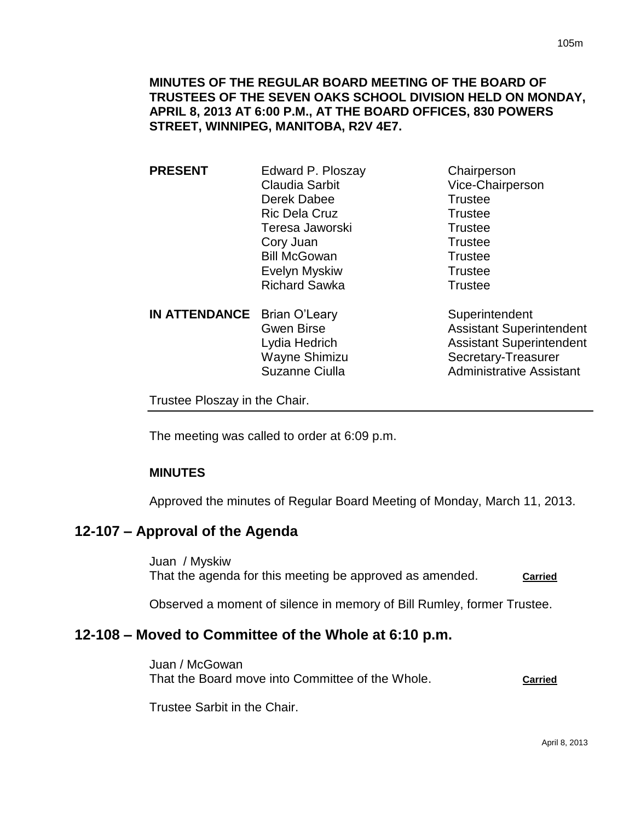### **MINUTES OF THE REGULAR BOARD MEETING OF THE BOARD OF TRUSTEES OF THE SEVEN OAKS SCHOOL DIVISION HELD ON MONDAY, APRIL 8, 2013 AT 6:00 P.M., AT THE BOARD OFFICES, 830 POWERS STREET, WINNIPEG, MANITOBA, R2V 4E7.**

**PRESENT** Edward P. Ploszay Chairperson Claudia Sarbit Vice-Chairperson Derek Dabee Trustee Ric Dela Cruz **Trustee** Teresa Jaworski **Trustee** Cory Juan Trustee Bill McGowan Trustee Evelyn Myskiw **Trustee** Richard Sawka Trustee

**IN ATTENDANCE** Brian O'Leary Superintendent

Gwen Birse **Assistant Superintendent** Lydia Hedrich Assistant Superintendent Wayne Shimizu Secretary-Treasurer Suzanne Ciulla **Administrative Assistant** 

Trustee Ploszay in the Chair.

The meeting was called to order at 6:09 p.m.

### **MINUTES**

Approved the minutes of Regular Board Meeting of Monday, March 11, 2013.

## **12-107 – Approval of the Agenda**

Juan / Myskiw That the agenda for this meeting be approved as amended. **Carried** 

Observed a moment of silence in memory of Bill Rumley, former Trustee.

## **12-108 – Moved to Committee of the Whole at 6:10 p.m.**

Juan / McGowan That the Board move into Committee of the Whole. **Carried**

Trustee Sarbit in the Chair.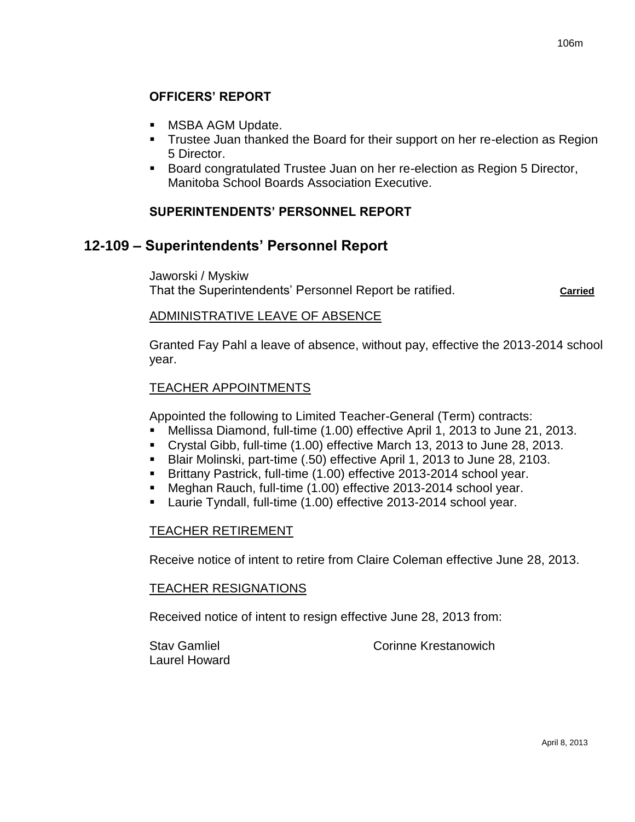# **OFFICERS' REPORT**

- MSBA AGM Update.
- Trustee Juan thanked the Board for their support on her re-election as Region 5 Director.
- **Board congratulated Trustee Juan on her re-election as Region 5 Director,** Manitoba School Boards Association Executive.

## **SUPERINTENDENTS' PERSONNEL REPORT**

# **12-109 – Superintendents' Personnel Report**

Jaworski / Myskiw That the Superintendents' Personnel Report be ratified. **Carried**

### ADMINISTRATIVE LEAVE OF ABSENCE

Granted Fay Pahl a leave of absence, without pay, effective the 2013-2014 school year.

## TEACHER APPOINTMENTS

Appointed the following to Limited Teacher-General (Term) contracts:

- Mellissa Diamond, full-time (1.00) effective April 1, 2013 to June 21, 2013.
- Crystal Gibb, full-time (1.00) effective March 13, 2013 to June 28, 2013.
- Blair Molinski, part-time (.50) effective April 1, 2013 to June 28, 2103.
- Brittany Pastrick, full-time (1.00) effective 2013-2014 school year.
- Meghan Rauch, full-time (1.00) effective 2013-2014 school year.
- Laurie Tyndall, full-time (1.00) effective 2013-2014 school year.

### TEACHER RETIREMENT

Receive notice of intent to retire from Claire Coleman effective June 28, 2013.

### TEACHER RESIGNATIONS

Received notice of intent to resign effective June 28, 2013 from:

Laurel Howard

Stav Gamliel **Corinne** Krestanowich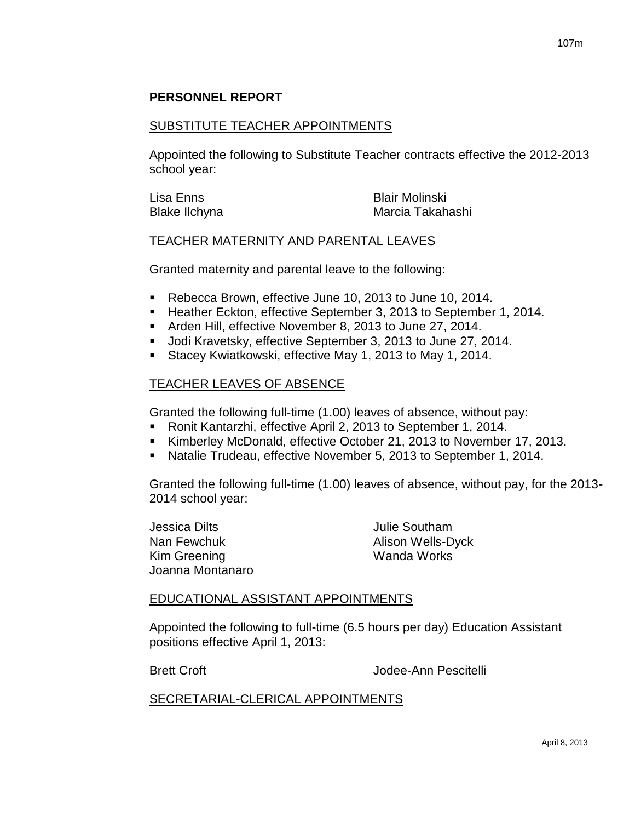## **PERSONNEL REPORT**

#### SUBSTITUTE TEACHER APPOINTMENTS

Appointed the following to Substitute Teacher contracts effective the 2012-2013 school year:

| Lisa Enns     | <b>Blair Molinski</b> |
|---------------|-----------------------|
| Blake Ilchyna | Marcia Takahashi      |

#### TEACHER MATERNITY AND PARENTAL LEAVES

Granted maternity and parental leave to the following:

- Rebecca Brown, effective June 10, 2013 to June 10, 2014.
- **Heather Eckton, effective September 3, 2013 to September 1, 2014.**
- Arden Hill, effective November 8, 2013 to June 27, 2014.
- Jodi Kravetsky, effective September 3, 2013 to June 27, 2014.
- **Stacey Kwiatkowski, effective May 1, 2013 to May 1, 2014.**

### TEACHER LEAVES OF ABSENCE

Granted the following full-time (1.00) leaves of absence, without pay:

- Ronit Kantarzhi, effective April 2, 2013 to September 1, 2014.
- Kimberley McDonald, effective October 21, 2013 to November 17, 2013.
- Natalie Trudeau, effective November 5, 2013 to September 1, 2014.

Granted the following full-time (1.00) leaves of absence, without pay, for the 2013- 2014 school year:

Jessica Dilts **Julie Southam** Nan Fewchuk **Alison Wells-Dyck** Kim Greening Wanda Works Joanna Montanaro

#### EDUCATIONAL ASSISTANT APPOINTMENTS

Appointed the following to full-time (6.5 hours per day) Education Assistant positions effective April 1, 2013:

**Brett Croft** Croft **Croft** Cross Contract Cross and Access Jodee-Ann Pescitelli

#### SECRETARIAL-CLERICAL APPOINTMENTS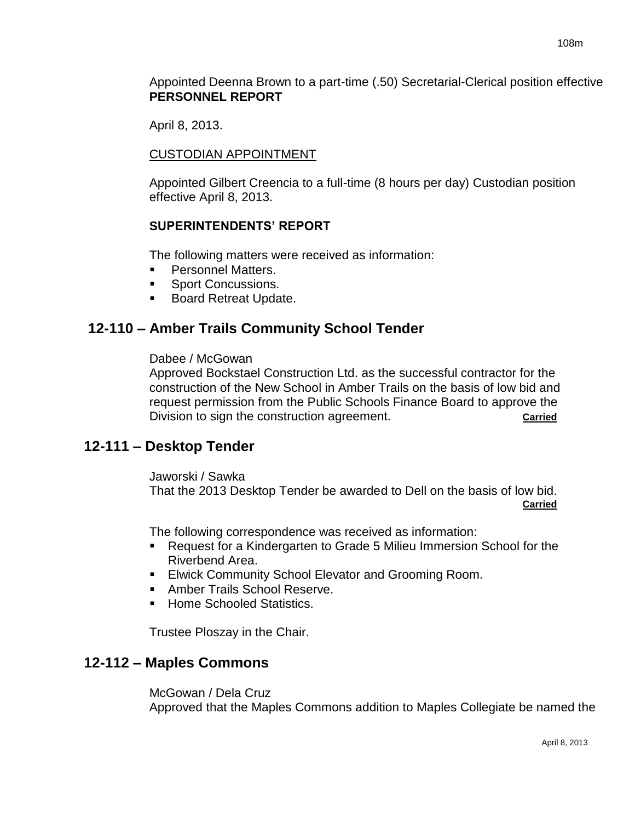Appointed Deenna Brown to a part-time (.50) Secretarial-Clerical position effective **PERSONNEL REPORT**

April 8, 2013.

### CUSTODIAN APPOINTMENT

Appointed Gilbert Creencia to a full-time (8 hours per day) Custodian position effective April 8, 2013.

## **SUPERINTENDENTS' REPORT**

The following matters were received as information:

- Personnel Matters.
- **Sport Concussions.**
- **Board Retreat Update.**

# **12-110 – Amber Trails Community School Tender**

### Dabee / McGowan

Approved Bockstael Construction Ltd. as the successful contractor for the construction of the New School in Amber Trails on the basis of low bid and request permission from the Public Schools Finance Board to approve the Division to sign the construction agreement.

# **12-111 – Desktop Tender**

#### Jaworski / Sawka

That the 2013 Desktop Tender be awarded to Dell on the basis of low bid. **Carried**

The following correspondence was received as information:

- Request for a Kindergarten to Grade 5 Milieu Immersion School for the Riverbend Area.
- **Elwick Community School Elevator and Grooming Room.**
- **Amber Trails School Reserve.**
- **Home Schooled Statistics.**

Trustee Ploszay in the Chair.

# **12-112 – Maples Commons**

McGowan / Dela Cruz Approved that the Maples Commons addition to Maples Collegiate be named the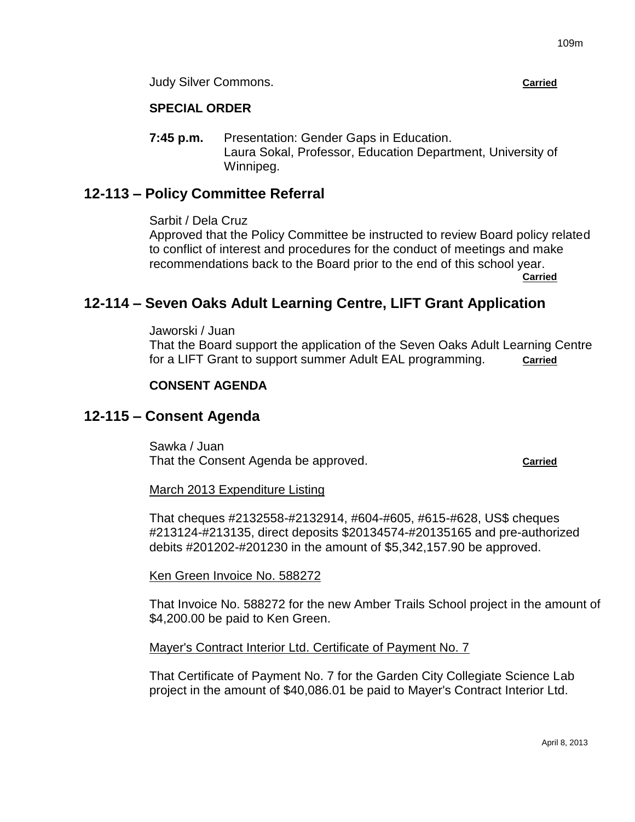Judy Silver Commons. **Carried**

## **SPECIAL ORDER**

**7:45 p.m.** Presentation: Gender Gaps in Education. Laura Sokal, Professor, Education Department, University of Winnipeg.

# **12-113 – Policy Committee Referral**

Sarbit / Dela Cruz

Approved that the Policy Committee be instructed to review Board policy related to conflict of interest and procedures for the conduct of meetings and make recommendations back to the Board prior to the end of this school year.

**Carried**

# **12-114 – Seven Oaks Adult Learning Centre, LIFT Grant Application**

Jaworski / Juan That the Board support the application of the Seven Oaks Adult Learning Centre for a LIFT Grant to support summer Adult EAL programming. **Carried**

## **CONSENT AGENDA**

# **12-115 – Consent Agenda**

Sawka / Juan That the Consent Agenda be approved. **Carried**

March 2013 Expenditure Listing

That cheques #2132558-#2132914, #604-#605, #615-#628, US\$ cheques #213124-#213135, direct deposits \$20134574-#20135165 and pre-authorized debits #201202-#201230 in the amount of \$5,342,157.90 be approved.

Ken Green Invoice No. 588272

That Invoice No. 588272 for the new Amber Trails School project in the amount of \$4,200.00 be paid to Ken Green.

Mayer's Contract Interior Ltd. Certificate of Payment No. 7

That Certificate of Payment No. 7 for the Garden City Collegiate Science Lab project in the amount of \$40,086.01 be paid to Mayer's Contract Interior Ltd.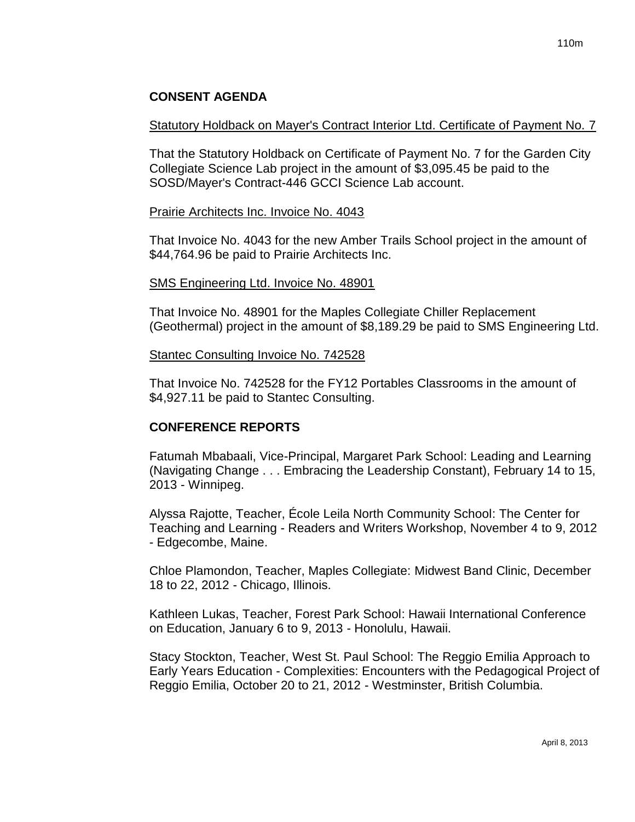## **CONSENT AGENDA**

### Statutory Holdback on Mayer's Contract Interior Ltd. Certificate of Payment No. 7

That the Statutory Holdback on Certificate of Payment No. 7 for the Garden City Collegiate Science Lab project in the amount of \$3,095.45 be paid to the SOSD/Mayer's Contract-446 GCCI Science Lab account.

### Prairie Architects Inc. Invoice No. 4043

That Invoice No. 4043 for the new Amber Trails School project in the amount of \$44,764.96 be paid to Prairie Architects Inc.

### SMS Engineering Ltd. Invoice No. 48901

That Invoice No. 48901 for the Maples Collegiate Chiller Replacement (Geothermal) project in the amount of \$8,189.29 be paid to SMS Engineering Ltd.

### Stantec Consulting Invoice No. 742528

That Invoice No. 742528 for the FY12 Portables Classrooms in the amount of \$4,927.11 be paid to Stantec Consulting.

### **CONFERENCE REPORTS**

Fatumah Mbabaali, Vice-Principal, Margaret Park School: Leading and Learning (Navigating Change . . . Embracing the Leadership Constant), February 14 to 15, 2013 - Winnipeg.

Alyssa Rajotte, Teacher, École Leila North Community School: The Center for Teaching and Learning - Readers and Writers Workshop, November 4 to 9, 2012 - Edgecombe, Maine.

Chloe Plamondon, Teacher, Maples Collegiate: Midwest Band Clinic, December 18 to 22, 2012 - Chicago, Illinois.

Kathleen Lukas, Teacher, Forest Park School: Hawaii International Conference on Education, January 6 to 9, 2013 - Honolulu, Hawaii.

Stacy Stockton, Teacher, West St. Paul School: The Reggio Emilia Approach to Early Years Education - Complexities: Encounters with the Pedagogical Project of Reggio Emilia, October 20 to 21, 2012 - Westminster, British Columbia.